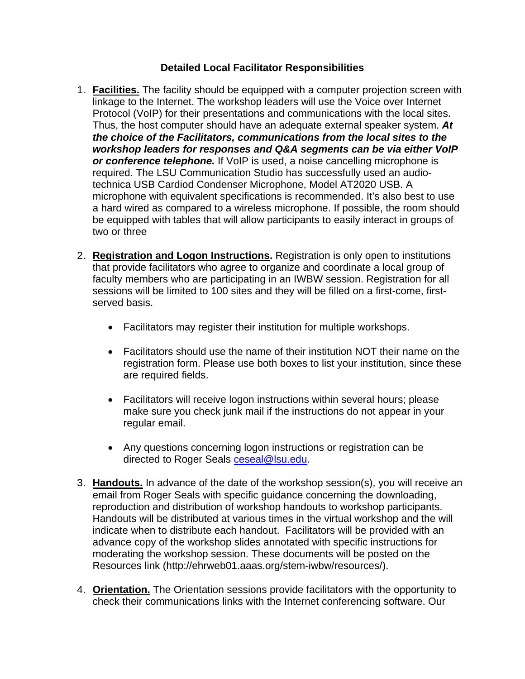## **Detailed Local Facilitator Responsibilities**

- 1. **Facilities.** The facility should be equipped with a computer projection screen with linkage to the Internet. The workshop leaders will use the Voice over Internet Protocol (VoIP) for their presentations and communications with the local sites. Thus, the host computer should have an adequate external speaker system. *At the choice of the Facilitators, communications from the local sites to the workshop leaders for responses and Q&A segments can be via either VoIP or conference telephone.* If VoIP is used, a noise cancelling microphone is required. The LSU Communication Studio has successfully used an audiotechnica USB Cardiod Condenser Microphone, Model AT2020 USB. A microphone with equivalent specifications is recommended. It's also best to use a hard wired as compared to a wireless microphone. If possible, the room should be equipped with tables that will allow participants to easily interact in groups of two or three
- 2. **Registration and Logon Instructions.** Registration is only open to institutions that provide facilitators who agree to organize and coordinate a local group of faculty members who are participating in an IWBW session. Registration for all sessions will be limited to 100 sites and they will be filled on a first-come, firstserved basis.
	- Facilitators may register their institution for multiple workshops.
	- Facilitators should use the name of their institution NOT their name on the registration form. Please use both boxes to list your institution, since these are required fields.
	- Facilitators will receive logon instructions within several hours; please make sure you check junk mail if the instructions do not appear in your regular email.
	- Any questions concerning logon instructions or registration can be directed to Roger Seals ceseal@lsu.edu.
- 3. **Handouts.** In advance of the date of the workshop session(s), you will receive an email from Roger Seals with specific guidance concerning the downloading, reproduction and distribution of workshop handouts to workshop participants. Handouts will be distributed at various times in the virtual workshop and the will indicate when to distribute each handout. Facilitators will be provided with an advance copy of the workshop slides annotated with specific instructions for moderating the workshop session. These documents will be posted on the Resources link (http://ehrweb01.aaas.org/stem-iwbw/resources/).
- 4. **Orientation.** The Orientation sessions provide facilitators with the opportunity to check their communications links with the Internet conferencing software. Our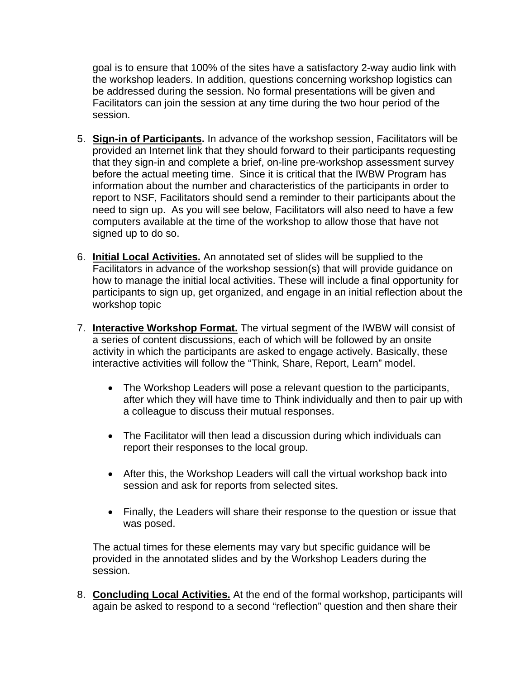goal is to ensure that 100% of the sites have a satisfactory 2-way audio link with the workshop leaders. In addition, questions concerning workshop logistics can be addressed during the session. No formal presentations will be given and Facilitators can join the session at any time during the two hour period of the session.

- 5. **Sign-in of Participants.** In advance of the workshop session, Facilitators will be provided an Internet link that they should forward to their participants requesting that they sign-in and complete a brief, on-line pre-workshop assessment survey before the actual meeting time. Since it is critical that the IWBW Program has information about the number and characteristics of the participants in order to report to NSF, Facilitators should send a reminder to their participants about the need to sign up. As you will see below, Facilitators will also need to have a few computers available at the time of the workshop to allow those that have not signed up to do so.
- 6. **Initial Local Activities.** An annotated set of slides will be supplied to the Facilitators in advance of the workshop session(s) that will provide guidance on how to manage the initial local activities. These will include a final opportunity for participants to sign up, get organized, and engage in an initial reflection about the workshop topic
- 7. **Interactive Workshop Format.** The virtual segment of the IWBW will consist of a series of content discussions, each of which will be followed by an onsite activity in which the participants are asked to engage actively. Basically, these interactive activities will follow the "Think, Share, Report, Learn" model.
	- The Workshop Leaders will pose a relevant question to the participants, after which they will have time to Think individually and then to pair up with a colleague to discuss their mutual responses.
	- The Facilitator will then lead a discussion during which individuals can report their responses to the local group.
	- After this, the Workshop Leaders will call the virtual workshop back into session and ask for reports from selected sites.
	- Finally, the Leaders will share their response to the question or issue that was posed.

The actual times for these elements may vary but specific guidance will be provided in the annotated slides and by the Workshop Leaders during the session.

8. **Concluding Local Activities.** At the end of the formal workshop, participants will again be asked to respond to a second "reflection" question and then share their